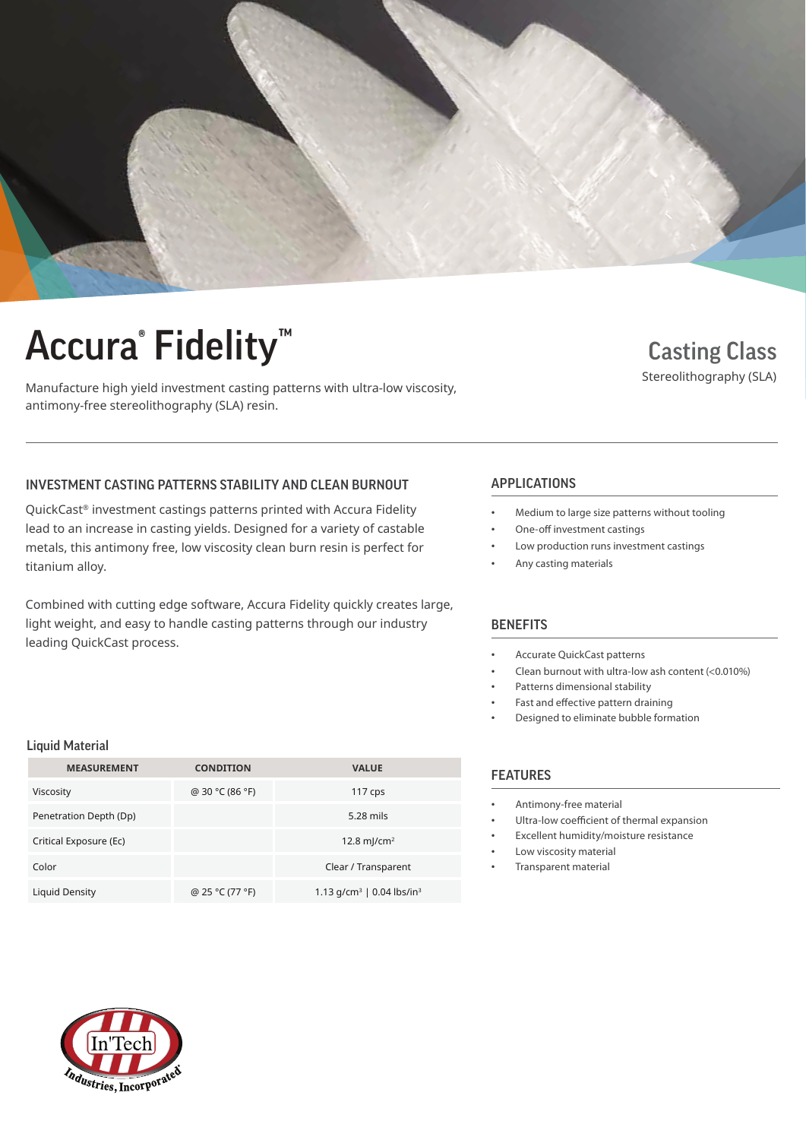

# Accura® Fidelity™ Casting Class

Manufacture high yield investment casting patterns with ultra-low viscosity, antimony-free stereolithography (SLA) resin.

### Stereolithography (SLA)

### INVESTMENT CASTING PATTERNS STABILITY AND CLEAN BURNOUT APPLICATIONS

QuickCast® investment castings patterns printed with Accura Fidelity lead to an increase in casting yields. Designed for a variety of castable metals, this antimony free, low viscosity clean burn resin is perfect for titanium alloy.

Combined with cutting edge software, Accura Fidelity quickly creates large, light weight, and easy to handle casting patterns through our industry leading QuickCast process.

- Medium to large size patterns without tooling
- One-off investment castings
- Low production runs investment castings
- Any casting materials

### **BENEFITS**

- Accurate QuickCast patterns
- Clean burnout with ultra-low ash content (<0.010%)
- Patterns dimensional stability
- Fast and effective pattern draining
- Designed to eliminate bubble formation

#### **FEATURES**

- Antimony-free material
- Ultra-low coefficient of thermal expansion
- Excellent humidity/moisture resistance
- Low viscosity material
- Transparent material

#### Liquid Material

| <b>MEASUREMENT</b>     | <b>CONDITION</b> | <b>VALUE</b>                             |  |
|------------------------|------------------|------------------------------------------|--|
| Viscosity              | @ 30 °C (86 °F)  | 117 $cps$                                |  |
| Penetration Depth (Dp) |                  | 5.28 mils                                |  |
| Critical Exposure (Ec) |                  | 12.8 m/cm <sup>2</sup>                   |  |
| Color                  |                  | Clear / Transparent                      |  |
| Liquid Density         | @ 25 °C (77 °F)  | 1.13 $q/cm^3$   0.04 lbs/in <sup>3</sup> |  |